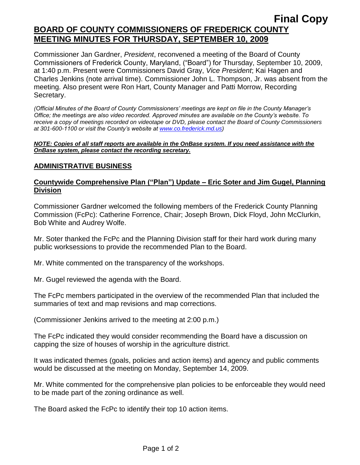# **Final Copy BOARD OF COUNTY COMMISSIONERS OF FREDERICK COUNTY MEETING MINUTES FOR THURSDAY, SEPTEMBER 10, 2009**

Commissioner Jan Gardner, *President*, reconvened a meeting of the Board of County Commissioners of Frederick County, Maryland, ("Board") for Thursday, September 10, 2009, at 1:40 p.m. Present were Commissioners David Gray, *Vice President*; Kai Hagen and Charles Jenkins (note arrival time). Commissioner John L. Thompson, Jr. was absent from the meeting. Also present were Ron Hart, County Manager and Patti Morrow, Recording Secretary.

*(Official Minutes of the Board of County Commissioners' meetings are kept on file in the County Manager's Office; the meetings are also video recorded. Approved minutes are available on the County's website. To receive a copy of meetings recorded on videotape or DVD, please contact the Board of County Commissioners at 301-600-1100 or visit the County's website at [www.co.frederick.md.us\)](http://www.co.frederick.md.us/)*

#### *NOTE: Copies of all staff reports are available in the OnBase system. If you need assistance with the OnBase system, please contact the recording secretary.*

## **ADMINISTRATIVE BUSINESS**

# **Countywide Comprehensive Plan ("Plan") Update – Eric Soter and Jim Gugel, Planning Division**

Commissioner Gardner welcomed the following members of the Frederick County Planning Commission (FcPc): Catherine Forrence, Chair; Joseph Brown, Dick Floyd, John McClurkin, Bob White and Audrey Wolfe.

Mr. Soter thanked the FcPc and the Planning Division staff for their hard work during many public worksessions to provide the recommended Plan to the Board.

Mr. White commented on the transparency of the workshops.

Mr. Gugel reviewed the agenda with the Board.

The FcPc members participated in the overview of the recommended Plan that included the summaries of text and map revisions and map corrections.

(Commissioner Jenkins arrived to the meeting at 2:00 p.m.)

The FcPc indicated they would consider recommending the Board have a discussion on capping the size of houses of worship in the agriculture district.

It was indicated themes (goals, policies and action items) and agency and public comments would be discussed at the meeting on Monday, September 14, 2009.

Mr. White commented for the comprehensive plan policies to be enforceable they would need to be made part of the zoning ordinance as well.

The Board asked the FcPc to identify their top 10 action items.